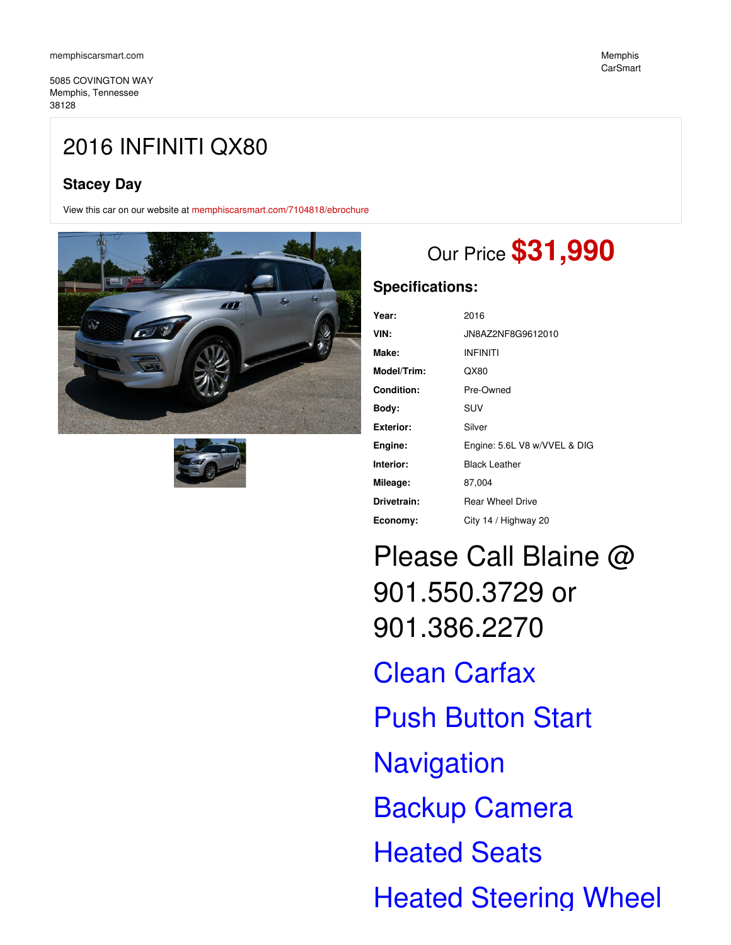5085 COVINGTON WAY Memphis, Tennessee 38128

## **Stacey Day**

View this car on our website at [memphiscarsmart.com/7104818/ebrochure](https://memphiscarsmart.com/vehicle/7104818/2016-infiniti-qx80-memphis-tennessee-38128/7104818/ebrochure)





# Our Price **\$31,990**

### **Specifications:**

| Year:            | 2016                         |
|------------------|------------------------------|
| VIN:             | JN8AZ2NF8G9612010            |
| Make:            | <b>INFINITI</b>              |
| Model/Trim:      | QX80                         |
| Condition:       | Pre-Owned                    |
| Body:            | SUV                          |
| <b>Exterior:</b> | Silver                       |
| Engine:          | Engine: 5.6L V8 w/VVEL & DIG |
| Interior:        | <b>Black Leather</b>         |
| Mileage:         | 87,004                       |
| Drivetrain:      | <b>Rear Wheel Drive</b>      |
| Economy:         | City 14 / Highway 20         |

Please Call Blaine @ 901.550.3729 or 901.386.2270 Clean Carfax Push Button Start **Navigation** Backup Camera Heated Seats Heated Steering Wheel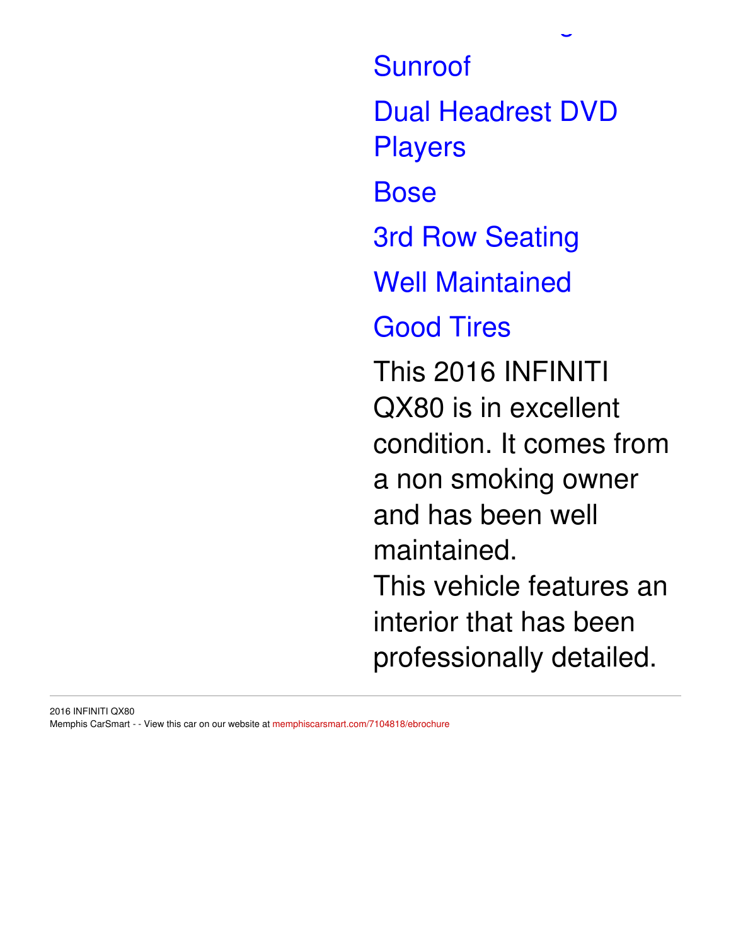Sunroof Dual Headrest DVD Players Bose 3rd Row Seating Well Maintained Good Tires This 2016 INFINITI QX80 is in excellent condition. It comes from a non smoking owner and has been well maintained. This vehicle features an interior that has been professionally detailed.

Heated Steering Wheel

### 2016 INFINITI QX80 Memphis CarSmart - - View this car on our website at [memphiscarsmart.com/7104818/ebrochure](https://memphiscarsmart.com/vehicle/7104818/2016-infiniti-qx80-memphis-tennessee-38128/7104818/ebrochure)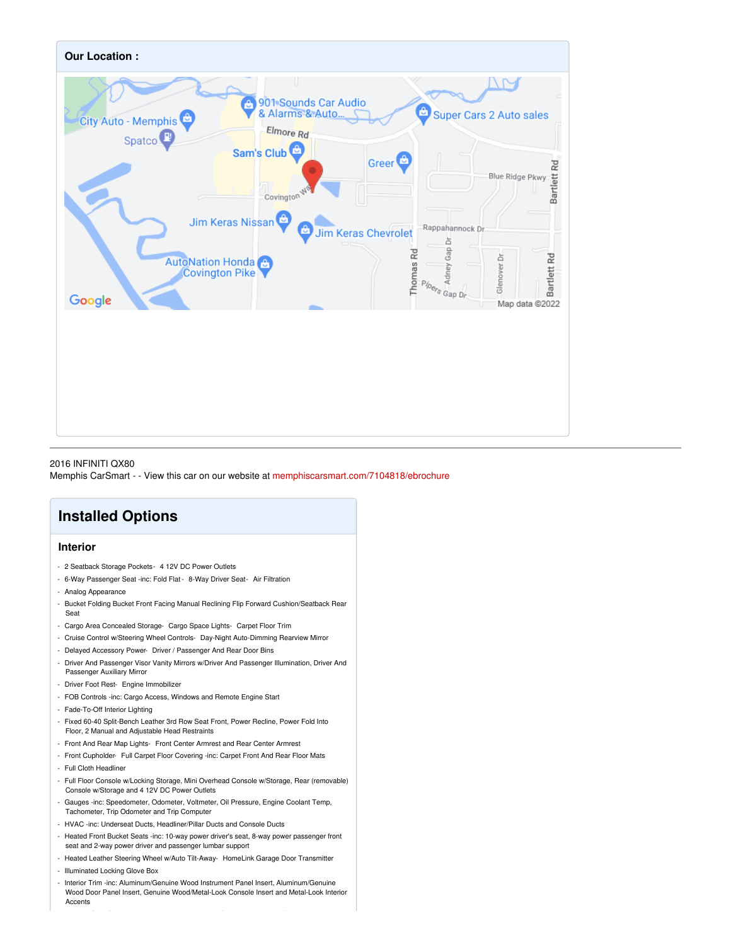

#### 2016 INFINITI QX80

Memphis CarSmart - - View this car on our website at [memphiscarsmart.com/7104818/ebrochure](https://memphiscarsmart.com/vehicle/7104818/2016-infiniti-qx80-memphis-tennessee-38128/7104818/ebrochure)

### **Installed Options**

### **Interior**

- 2 Seatback Storage Pockets- 4 12V DC Power Outlets
- 6-Way Passenger Seat -inc: Fold Flat 8-Way Driver Seat- Air Filtration
- Analog Appearance
- Bucket Folding Bucket Front Facing Manual Reclining Flip Forward Cushion/Seatback Rear Seat
- Cargo Area Concealed Storage- Cargo Space Lights- Carpet Floor Trim
- Cruise Control w/Steering Wheel Controls- Day-Night Auto-Dimming Rearview Mirror
- Delayed Accessory Power- Driver / Passenger And Rear Door Bins
- Driver And Passenger Visor Vanity Mirrors w/Driver And Passenger Illumination, Driver And Passenger Auxiliary Mirror
- Driver Foot Rest- Engine Immobilizer
- FOB Controls -inc: Cargo Access, Windows and Remote Engine Start
- Fade-To-Off Interior Lighting
- Fixed 60-40 Split-Bench Leather 3rd Row Seat Front, Power Recline, Power Fold Into Floor, 2 Manual and Adjustable Head Restraints
- Front And Rear Map Lights- Front Center Armrest and Rear Center Armrest
- Front Cupholder- Full Carpet Floor Covering -inc: Carpet Front And Rear Floor Mats - Full Cloth Headliner
- Full Floor Console w/Locking Storage, Mini Overhead Console w/Storage, Rear (removable) Console w/Storage and 4 12V DC Power Outlets
- Gauges -inc: Speedometer, Odometer, Voltmeter, Oil Pressure, Engine Coolant Temp, Tachometer, Trip Odometer and Trip Computer
- HVAC -inc: Underseat Ducts, Headliner/Pillar Ducts and Console Ducts
- Heated Front Bucket Seats -inc: 10-way power driver's seat, 8-way power passenger front seat and 2-way power driver and passenger lumbar support
- Heated Leather Steering Wheel w/Auto Tilt-Away- HomeLink Garage Door Transmitter
- Illuminated Locking Glove Box
- Interior Trim -inc: Aluminum/Genuine Wood Instrument Panel Insert, Aluminum/Genuine Wood Door Panel Insert, Genuine Wood/Metal-Look Console Insert and Metal-Look Interior Accents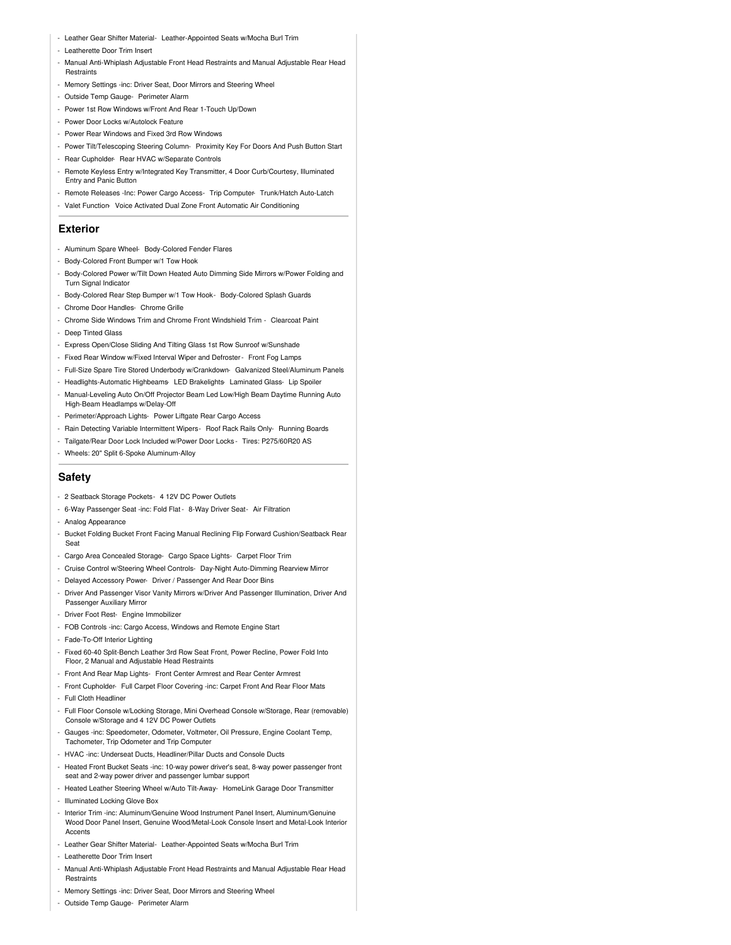- Leather Gear Shifter Material- Leather-Appointed Seats w/Mocha Burl Trim
- Leatherette Door Trim Insert
- Manual Anti-Whiplash Adjustable Front Head Restraints and Manual Adjustable Rear Head **Restraints**
- Memory Settings -inc: Driver Seat, Door Mirrors and Steering Wheel
- Outside Temp Gauge- Perimeter Alarm
- Power 1st Row Windows w/Front And Rear 1-Touch Up/Down
- Power Door Locks w/Autolock Feature
- Power Rear Windows and Fixed 3rd Row Windows
- Power Tilt/Telescoping Steering Column- Proximity Key For Doors And Push Button Start
- Rear Cupholder- Rear HVAC w/Separate Controls
- Remote Keyless Entry w/Integrated Key Transmitter, 4 Door Curb/Courtesy, Illuminated Entry and Panic Button
- Remote Releases -Inc: Power Cargo Access- Trip Computer- Trunk/Hatch Auto-Latch
- Valet Function- Voice Activated Dual Zone Front Automatic Air Conditioning

#### **Exterior**

- Aluminum Spare Wheel- Body-Colored Fender Flares
- Body-Colored Front Bumper w/1 Tow Hook
- Body-Colored Power w/Tilt Down Heated Auto Dimming Side Mirrors w/Power Folding and Turn Signal Indicator
- Body-Colored Rear Step Bumper w/1 Tow Hook- Body-Colored Splash Guards
- Chrome Door Handles- Chrome Grille
- Chrome Side Windows Trim and Chrome Front Windshield Trim Clearcoat Paint
- Deep Tinted Glass
- Express Open/Close Sliding And Tilting Glass 1st Row Sunroof w/Sunshade
- Fixed Rear Window w/Fixed Interval Wiper and Defroster- Front Fog Lamps
- Full-Size Spare Tire Stored Underbody w/Crankdown- Galvanized Steel/Aluminum Panels
- Headlights-Automatic Highbeams- LED Brakelights- Laminated Glass- Lip Spoiler
- Manual-Leveling Auto On/Off Projector Beam Led Low/High Beam Daytime Running Auto High-Beam Headlamps w/Delay-Off
- Perimeter/Approach Lights- Power Liftgate Rear Cargo Access
- Rain Detecting Variable Intermittent Wipers- Roof Rack Rails Only- Running Boards
- Tailgate/Rear Door Lock Included w/Power Door Locks Tires: P275/60R20 AS
- Wheels: 20" Split 6-Spoke Aluminum-Alloy

### **Safety**

- 2 Seatback Storage Pockets- 4 12V DC Power Outlets
- 6-Way Passenger Seat -inc: Fold Flat 8-Way Driver Seat- Air Filtration
- Analog Appearance
- Bucket Folding Bucket Front Facing Manual Reclining Flip Forward Cushion/Seatback Rear Seat
- Cargo Area Concealed Storage- Cargo Space Lights- Carpet Floor Trim
- Cruise Control w/Steering Wheel Controls- Day-Night Auto-Dimming Rearview Mirror
- Delayed Accessory Power- Driver / Passenger And Rear Door Bins
- Driver And Passenger Visor Vanity Mirrors w/Driver And Passenger Illumination, Driver And Passenger Auxiliary Mirror
- Driver Foot Rest- Engine Immobilizer
- FOB Controls -inc: Cargo Access, Windows and Remote Engine Start
- Fade-To-Off Interior Lighting
- Fixed 60-40 Split-Bench Leather 3rd Row Seat Front, Power Recline, Power Fold Into Floor, 2 Manual and Adjustable Head Restraints
- Front And Rear Map Lights- Front Center Armrest and Rear Center Armrest
- Front Cupholder- Full Carpet Floor Covering -inc: Carpet Front And Rear Floor Mats - Full Cloth Headliner
- Full Floor Console w/Locking Storage, Mini Overhead Console w/Storage, Rear (removable) Console w/Storage and 4 12V DC Power Outlets
- Gauges -inc: Speedometer, Odometer, Voltmeter, Oil Pressure, Engine Coolant Temp, Tachometer, Trip Odometer and Trip Computer
- HVAC -inc: Underseat Ducts, Headliner/Pillar Ducts and Console Ducts
- Heated Front Bucket Seats -inc: 10-way power driver's seat, 8-way power passenger front seat and 2-way power driver and passenger lumbar support
- Heated Leather Steering Wheel w/Auto Tilt-Away- HomeLink Garage Door Transmitter
- Illuminated Locking Glove Box
- Interior Trim -inc: Aluminum/Genuine Wood Instrument Panel Insert, Aluminum/Genuine Wood Door Panel Insert, Genuine Wood/Metal-Look Console Insert and Metal-Look Interior Accents
- Leather Gear Shifter Material- Leather-Appointed Seats w/Mocha Burl Trim
- Leatherette Door Trim Insert
- Manual Anti-Whiplash Adjustable Front Head Restraints and Manual Adjustable Rear Head Restraints
- Memory Settings -inc: Driver Seat, Door Mirrors and Steering Wheel
- Outside Temp Gauge- Perimeter Alarm